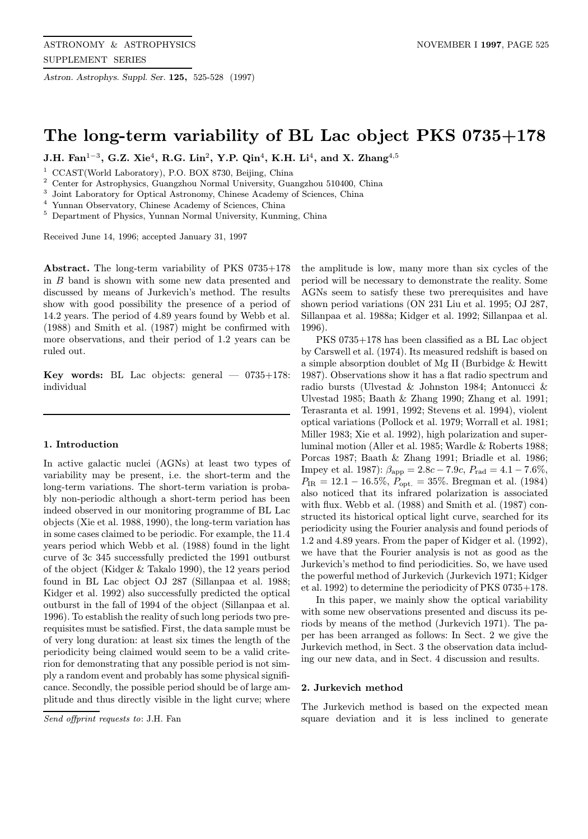Astron. Astrophys. Suppl. Ser. 125, 525-528 (1997)

# The long-term variability of BL Lac object PKS 0735+178

J.H. Fan<sup>1-3</sup>, G.Z. Xie<sup>4</sup>, R.G. Lin<sup>2</sup>, Y.P. Qin<sup>4</sup>, K.H. Li<sup>4</sup>, and X. Zhang<sup>4,5</sup>

<sup>1</sup> CCAST(World Laboratory), P.O. BOX 8730, Beijing, China

<sup>2</sup> Center for Astrophysics, Guangzhou Normal University, Guangzhou 510400, China

<sup>3</sup> Joint Laboratory for Optical Astronomy, Chinese Academy of Sciences, China<br><sup>4</sup> Y<sub>0</sub>

Yunnan Observatory, Chinese Academy of Sciences, China

<sup>5</sup> Department of Physics, Yunnan Normal University, Kunming, China

Received June 14, 1996; accepted January 31, 1997

Abstract. The long-term variability of PKS 0735+178 in B band is shown with some new data presented and discussed by means of Jurkevich's method. The results show with good possibility the presence of a period of 14.2 years. The period of 4.89 years found by Webb et al. (1988) and Smith et al. (1987) might be confirmed with more observations, and their period of 1.2 years can be ruled out.

**Key words:** BL Lac objects: general  $- 0735 + 178$ : individual

#### 1. Introduction

In active galactic nuclei (AGNs) at least two types of variability may be present, i.e. the short-term and the long-term variations. The short-term variation is probably non-periodic although a short-term period has been indeed observed in our monitoring programme of BL Lac objects (Xie et al. 1988, 1990), the long-term variation has in some cases claimed to be periodic. For example, the 11.4 years period which Webb et al. (1988) found in the light curve of 3c 345 successfully predicted the 1991 outburst of the object (Kidger & Takalo 1990), the 12 years period found in BL Lac object OJ 287 (Sillanpaa et al. 1988; Kidger et al. 1992) also successfully predicted the optical outburst in the fall of 1994 of the object (Sillanpaa et al. 1996). To establish the reality of such long periods two prerequisites must be satisfied. First, the data sample must be of very long duration: at least six times the length of the periodicity being claimed would seem to be a valid criterion for demonstrating that any possible period is not simply a random event and probably has some physical significance. Secondly, the possible period should be of large amplitude and thus directly visible in the light curve; where

Send offprint requests to: J.H. Fan

the amplitude is low, many more than six cycles of the period will be necessary to demonstrate the reality. Some AGNs seem to satisfy these two prerequisites and have shown period variations (ON 231 Liu et al. 1995; OJ 287, Sillanpaa et al. 1988a; Kidger et al. 1992; Sillanpaa et al. 1996).

PKS 0735+178 has been classified as a BL Lac object by Carswell et al. (1974). Its measured redshift is based on a simple absorption doublet of Mg II (Burbidge & Hewitt 1987). Observations show it has a flat radio spectrum and radio bursts (Ulvestad & Johnston 1984; Antonucci & Ulvestad 1985; Baath & Zhang 1990; Zhang et al. 1991; Terasranta et al. 1991, 1992; Stevens et al. 1994), violent optical variations (Pollock et al. 1979; Worrall et al. 1981; Miller 1983; Xie et al. 1992), high polarization and superluminal motion (Aller et al. 1985; Wardle & Roberts 1988; Porcas 1987; Baath & Zhang 1991; Briadle et al. 1986; Impey et al. 1987):  $\beta_{\rm app} = 2.8c - 7.9c$ ,  $P_{\rm rad} = 4.1 - 7.6\%$ ,  $P_{\text{IR}} = 12.1 - 16.5\%, P_{\text{opt.}} = 35\%.$  Bregman et al. (1984) also noticed that its infrared polarization is associated with flux. Webb et al. (1988) and Smith et al. (1987) constructed its historical optical light curve, searched for its periodicity using the Fourier analysis and found periods of 1.2 and 4.89 years. From the paper of Kidger et al. (1992), we have that the Fourier analysis is not as good as the Jurkevich's method to find periodicities. So, we have used the powerful method of Jurkevich (Jurkevich 1971; Kidger et al. 1992) to determine the periodicity of PKS 0735+178.

In this paper, we mainly show the optical variability with some new observations presented and discuss its periods by means of the method (Jurkevich 1971). The paper has been arranged as follows: In Sect. 2 we give the Jurkevich method, in Sect. 3 the observation data including our new data, and in Sect. 4 discussion and results.

#### 2. Jurkevich method

The Jurkevich method is based on the expected mean square deviation and it is less inclined to generate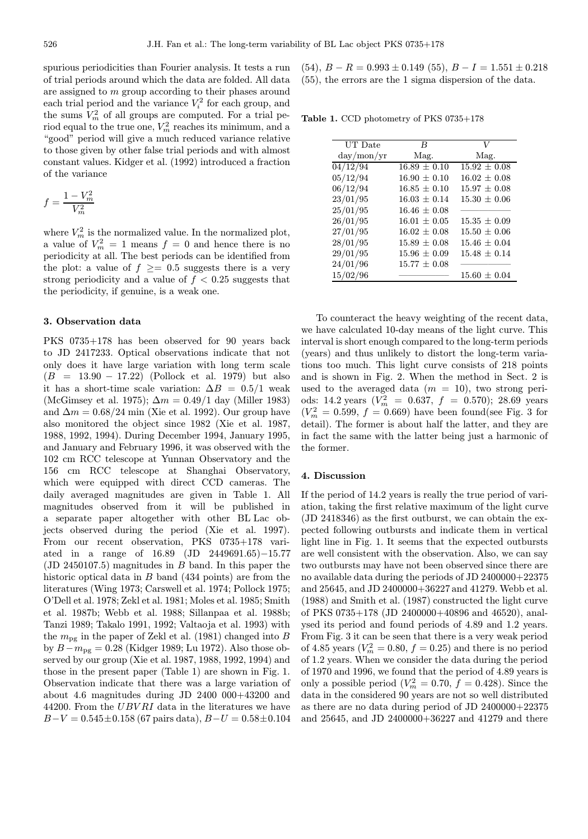spurious periodicities than Fourier analysis. It tests a run of trial periods around which the data are folded. All data are assigned to m group according to their phases around each trial period and the variance  $V_i^2$  for each group, and the sums  $V_m^2$  of all groups are computed. For a trial period equal to the true one,  $V_m^2$  reaches its minimum, and a "good" period will give a much reduced variance relative to those given by other false trial periods and with almost constant values. Kidger et al. (1992) introduced a fraction of the variance

$$
f=\frac{1-V_m^2}{V_m^2}
$$

where  $V_m^2$  is the normalized value. In the normalized plot, a value of  $V_m^2 = 1$  means  $f = 0$  and hence there is no periodicity at all. The best periods can be identified from the plot: a value of  $f \geq 0.5$  suggests there is a very strong periodicity and a value of  $f < 0.25$  suggests that the periodicity, if genuine, is a weak one.

#### 3. Observation data

PKS 0735+178 has been observed for 90 years back to JD 2417233. Optical observations indicate that not only does it have large variation with long term scale  $(B = 13.90 - 17.22)$  (Pollock et al. 1979) but also it has a short-time scale variation:  $\Delta B = 0.5/1$  weak (McGimsey et al. 1975);  $\Delta m = 0.49/1$  day (Miller 1983) and  $\Delta m = 0.68/24$  min (Xie et al. 1992). Our group have also monitored the object since 1982 (Xie et al. 1987, 1988, 1992, 1994). During December 1994, January 1995, and January and February 1996, it was observed with the 102 cm RCC telescope at Yunnan Observatory and the 156 cm RCC telescope at Shanghai Observatory, which were equipped with direct CCD cameras. The daily averaged magnitudes are given in Table 1. All magnitudes observed from it will be published in a separate paper altogether with other BL Lac objects observed during the period (Xie et al. 1997). From our recent observation, PKS 0735+178 variated in a range of 16.89 (JD 2449691.65)−15.77 (JD 2450107.5) magnitudes in B band. In this paper the historic optical data in B band (434 points) are from the literatures (Wing 1973; Carswell et al. 1974; Pollock 1975; O'Dell et al. 1978; Zekl et al. 1981; Moles et al. 1985; Smith et al. 1987b; Webb et al. 1988; Sillanpaa et al. 1988b; Tanzi 1989; Takalo 1991, 1992; Valtaoja et al. 1993) with the  $m_{\text{pg}}$  in the paper of Zekl et al. (1981) changed into B by  $B - m_{\text{pg}} = 0.28$  (Kidger 1989; Lu 1972). Also those observed by our group (Xie et al. 1987, 1988, 1992, 1994) and those in the present paper (Table 1) are shown in Fig. 1. Observation indicate that there was a large variation of about 4.6 magnitudes during JD 2400 000+43200 and 44200. From the  $UBVRI$  data in the literatures we have  $B-V = 0.545 \pm 0.158$  (67 pairs data),  $B-U = 0.58 \pm 0.104$   $(54)$ ,  $B - R = 0.993 \pm 0.149$  (55),  $B - I = 1.551 \pm 0.218$ (55), the errors are the 1 sigma dispersion of the data.

Table 1. CCD photometry of PKS 0735+178

| UT Date                                 | B.               | V                |
|-----------------------------------------|------------------|------------------|
| $\mathrm{day}/\mathrm{mon}/\mathrm{yr}$ | Mag.             | Mag.             |
| 04/12/94                                | $16.89 \pm 0.10$ | $15.92 \pm 0.08$ |
| 05/12/94                                | $16.90 \pm 0.10$ | $16.02 \pm 0.08$ |
| 06/12/94                                | $16.85 \pm 0.10$ | $15.97 \pm 0.08$ |
| 23/01/95                                | $16.03 + 0.14$   | $15.30 + 0.06$   |
| 25/01/95                                | $16.46 + 0.08$   |                  |
| 26/01/95                                | $16.01 \pm 0.05$ | $15.35 \pm 0.09$ |
| 27/01/95                                | $16.02 \pm 0.08$ | $15.50 \pm 0.06$ |
| 28/01/95                                | $15.89 \pm 0.08$ | $15.46 + 0.04$   |
| 29/01/95                                | $15.96 \pm 0.09$ | $15.48 \pm 0.14$ |
| 24/01/96                                | $15.77 + 0.08$   |                  |
| 15/02/96                                |                  | $15.60 \pm 0.04$ |

To counteract the heavy weighting of the recent data, we have calculated 10-day means of the light curve. This interval is short enough compared to the long-term periods (years) and thus unlikely to distort the long-term variations too much. This light curve consists of 218 points and is shown in Fig. 2. When the method in Sect. 2 is used to the averaged data  $(m = 10)$ , two strong periods: 14.2 years  $(V_m^2 = 0.637, f = 0.570)$ ; 28.69 years  $(V_m^2 = 0.599, f = 0.669)$  have been found(see Fig. 3 for detail). The former is about half the latter, and they are in fact the same with the latter being just a harmonic of the former.

## 4. Discussion

If the period of 14.2 years is really the true period of variation, taking the first relative maximum of the light curve (JD 2418346) as the first outburst, we can obtain the expected following outbursts and indicate them in vertical light line in Fig. 1. It seems that the expected outbursts are well consistent with the observation. Also, we can say two outbursts may have not been observed since there are no available data during the periods of JD 2400000+22375 and 25645, and JD 2400000+36227 and 41279. Webb et al. (1988) and Smith et al. (1987) constructed the light curve of PKS 0735+178 (JD 2400000+40896 and 46520), analysed its period and found periods of 4.89 and 1.2 years. From Fig. 3 it can be seen that there is a very weak period of 4.85 years  $(V_m^2 = 0.80, f = 0.25)$  and there is no period of 1.2 years. When we consider the data during the period of 1970 and 1996, we found that the period of 4.89 years is only a possible period ( $V_m^2 = 0.70$ ,  $f = 0.428$ ). Since the data in the considered 90 years are not so well distributed as there are no data during period of JD 2400000+22375 and 25645, and JD 2400000+36227 and 41279 and there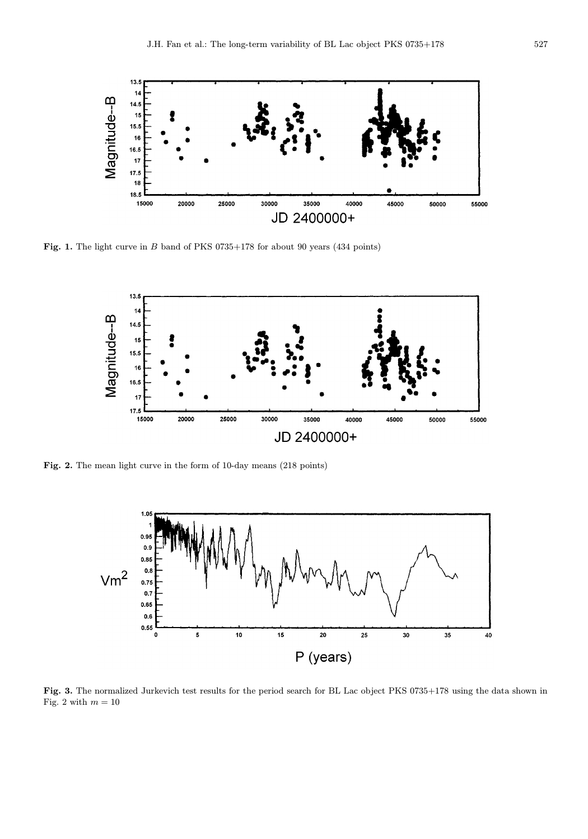

Fig. 1. The light curve in B band of PKS 0735+178 for about 90 years (434 points)



Fig. 2. The mean light curve in the form of 10-day means (218 points)



Fig. 3. The normalized Jurkevich test results for the period search for BL Lac object PKS 0735+178 using the data shown in Fig. 2 with  $m=10\,$